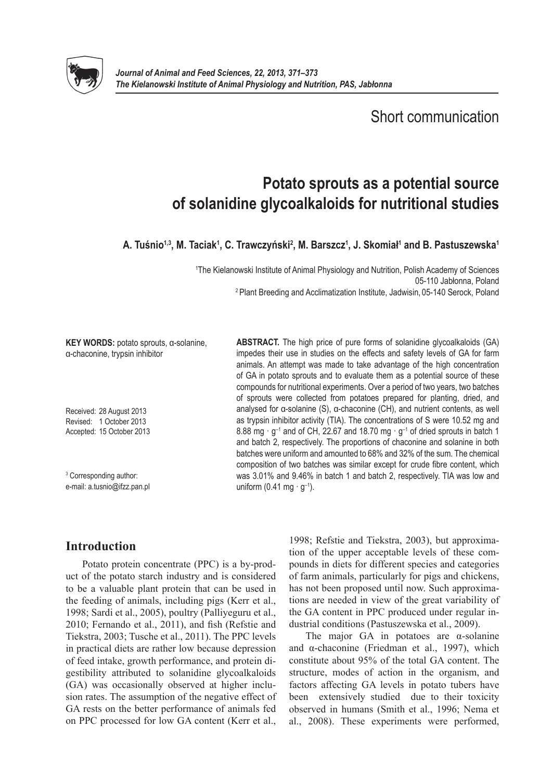

Short communication

# **Potato sprouts as a potential source of solanidine glycoalkaloids for nutritional studies**

**A. Tuśnio1,3, M. Taciak1 , C. Trawczyński<sup>2</sup> , M. Barszcz1 , J. Skomiał<sup>1</sup> and B. Pastuszewska1**

1 The Kielanowski Institute of Animal Physiology and Nutrition, Polish Academy of Sciences 05-110 Jabłonna, Poland 2 Plant Breeding and Acclimatization Institute, Jadwisin, 05-140 Serock, Poland

**KEY WORDS:** potato sprouts, α-solanine, α-chaconine, trypsin inhibitor

Received: 28 August 2013 Revised: 1 October 2013 Accepted: 15 October 2013

3 Corresponding author: e-mail: a.tusnio@ifzz.pan.pl **ABSTRACT.** The high price of pure forms of solanidine glycoalkaloids (GA) impedes their use in studies on the effects and safety levels of GA for farm animals. An attempt was made to take advantage of the high concentration of GA in potato sprouts and to evaluate them as a potential source of these compounds for nutritional experiments. Over a period of two years, two batches of sprouts were collected from potatoes prepared for planting, dried, and analysed for α-solanine (S), α-chaconine (CH), and nutrient contents, as well as trypsin inhibitor activity (TIA). The concentrations of S were 10.52 mg and 8.88 mg  $\cdot$  g<sup>-1</sup> and of CH, 22.67 and 18.70 mg  $\cdot$  g<sup>-1</sup> of dried sprouts in batch 1 and batch 2, respectively. The proportions of chaconine and solanine in both batches were uniform and amounted to 68% and 32% of the sum. The chemical composition of two batches was similar except for crude fibre content, which was 3.01% and 9.46% in batch 1 and batch 2, respectively. TIA was low and uniform (0.41 mg  $\cdot$  g<sup>-1</sup>).

## **Introduction**

Potato protein concentrate (PPC) is a by-product of the potato starch industry and is considered to be a valuable plant protein that can be used in the feeding of animals, including pigs (Kerr et al., 1998; Sardi et al., 2005), poultry (Palliyeguru et al., 2010; Fernando et al., 2011), and fish (Refstie and Tiekstra, 2003; Tusche et al., 2011). The PPC levels in practical diets are rather low because depression of feed intake, growth performance, and protein digestibility attributed to solanidine glycoalkaloids (GA) was occasionally observed at higher inclusion rates. The assumption of the negative effect of GA rests on the better performance of animals fed on PPC processed for low GA content (Kerr et al.,

1998; Refstie and Tiekstra, 2003), but approximation of the upper acceptable levels of these compounds in diets for different species and categories of farm animals, particularly for pigs and chickens, has not been proposed until now. Such approximations are needed in view of the great variability of the GA content in PPC produced under regular industrial conditions (Pastuszewska et al., 2009).

The major GA in potatoes are  $\alpha$ -solanine and α-chaconine (Friedman et al., 1997), which constitute about 95% of the total GA content. The structure, modes of action in the organism, and factors affecting GA levels in potato tubers have been extensively studied due to their toxicity observed in humans (Smith et al., 1996; Nema et al., 2008). These experiments were performed,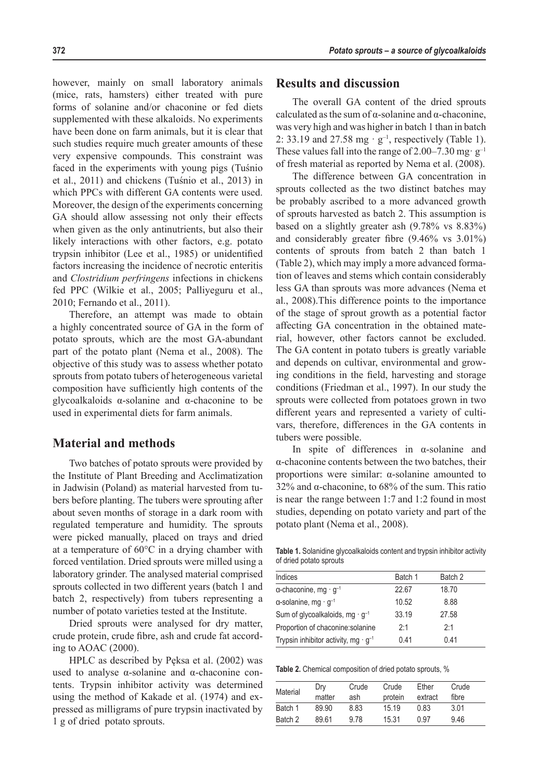#### **372** *Potato sprouts – a source of glycoalkaloids*

however, mainly on small laboratory animals (mice, rats, hamsters) either treated with pure forms of solanine and/or chaconine or fed diets supplemented with these alkaloids. No experiments have been done on farm animals, but it is clear that such studies require much greater amounts of these very expensive compounds. This constraint was faced in the experiments with young pigs (Tuśnio et al., 2011) and chickens (Tuśnio et al., 2013) in which PPCs with different GA contents were used. Moreover, the design of the experiments concerning GA should allow assessing not only their effects when given as the only antinutrients, but also their likely interactions with other factors, e.g. potato trypsin inhibitor (Lee et al., 1985) or unidentified factors increasing the incidence of necrotic enteritis and *Clostridium perfringens* infections in chickens fed PPC (Wilkie et al., 2005; Palliyeguru et al., 2010; Fernando et al., 2011).

Therefore, an attempt was made to obtain a highly concentrated source of GA in the form of potato sprouts, which are the most GA-abundant part of the potato plant (Nema et al., 2008). The objective of this study was to assess whether potato sprouts from potato tubers of heterogeneous varietal composition have sufficiently high contents of the glycoalkaloids α-solanine and α-chaconine to be used in experimental diets for farm animals.

### **Material and methods**

Two batches of potato sprouts were provided by the Institute of Plant Breeding and Acclimatization in Jadwisin (Poland) as material harvested from tubers before planting. The tubers were sprouting after about seven months of storage in a dark room with regulated temperature and humidity. The sprouts were picked manually, placed on trays and dried at a temperature of 60°C in a drying chamber with forced ventilation. Dried sprouts were milled using a laboratory grinder. The analysed material comprised sprouts collected in two different years (batch 1 and batch 2, respectively) from tubers representing a number of potato varieties tested at the Institute.

Dried sprouts were analysed for dry matter, crude protein, crude fibre, ash and crude fat according to AOAC (2000).

HPLC as described by Pęksa et al. (2002) was used to analyse α-solanine and α-chaconine contents. Trypsin inhibitor activity was determined using the method of Kakade et al. (1974) and expressed as milligrams of pure trypsin inactivated by 1 g of dried potato sprouts.

#### **Results and discussion**

The overall GA content of the dried sprouts calculated as the sum of  $\alpha$ -solanine and  $\alpha$ -chaconine, was very high and was higher in batch 1 than in batch 2: 33.19 and 27.58 mg  $\cdot$  g<sup>-1</sup>, respectively (Table 1). These values fall into the range of 2.00–7.30 mg·  $g^{-1}$ of fresh material as reported by Nema et al. (2008).

The difference between GA concentration in sprouts collected as the two distinct batches may be probably ascribed to a more advanced growth of sprouts harvested as batch 2. This assumption is based on a slightly greater ash (9.78% vs 8.83%) and considerably greater fibre (9.46% vs 3.01%) contents of sprouts from batch 2 than batch 1 (Table 2), which may imply a more advanced formation of leaves and stems which contain considerably less GA than sprouts was more advances (Nema et al., 2008).This difference points to the importance of the stage of sprout growth as a potential factor affecting GA concentration in the obtained material, however, other factors cannot be excluded. The GA content in potato tubers is greatly variable and depends on cultivar, environmental and growing conditions in the field, harvesting and storage conditions (Friedman et al., 1997). In our study the sprouts were collected from potatoes grown in two different years and represented a variety of cultivars, therefore, differences in the GA contents in tubers were possible.

In spite of differences in α-solanine and α-chaconine contents between the two batches, their proportions were similar: α-solanine amounted to 32% and  $\alpha$ -chaconine, to 68% of the sum. This ratio is near the range between 1:7 and 1:2 found in most studies, depending on potato variety and part of the potato plant (Nema et al., 2008).

**Table 1.** Solanidine glycoalkaloids content and trypsin inhibitor activity of dried potato sprouts

| Indices                                                | Batch 1 | Batch 2 |  |
|--------------------------------------------------------|---------|---------|--|
| $\alpha$ -chaconine, mg · $g^{-1}$                     | 22.67   | 18.70   |  |
| $\alpha$ -solanine, mg · g <sup>-1</sup>               | 10.52   | 8.88    |  |
| Sum of glycoalkaloids, mg $\cdot$ g <sup>-1</sup>      | 33.19   | 27.58   |  |
| Proportion of chaconine: solanine                      | 2:1     | 2:1     |  |
| Trypsin inhibitor activity, mg $\cdot$ g <sup>-1</sup> | 0.41    | 0.41    |  |

**Table 2.** Chemical composition of dried potato sprouts, %

| Material | Dry<br>matter | Crude<br>ash | Crude<br>protein | Fther<br>extract | Crude<br>fibre |
|----------|---------------|--------------|------------------|------------------|----------------|
| Batch 1  | 89.90         | 8.83         | 15.19            | 0.83             | 3.01           |
| Batch 2  | 89.61         | 9.78         | 15.31            | በ 97             | 9.46           |